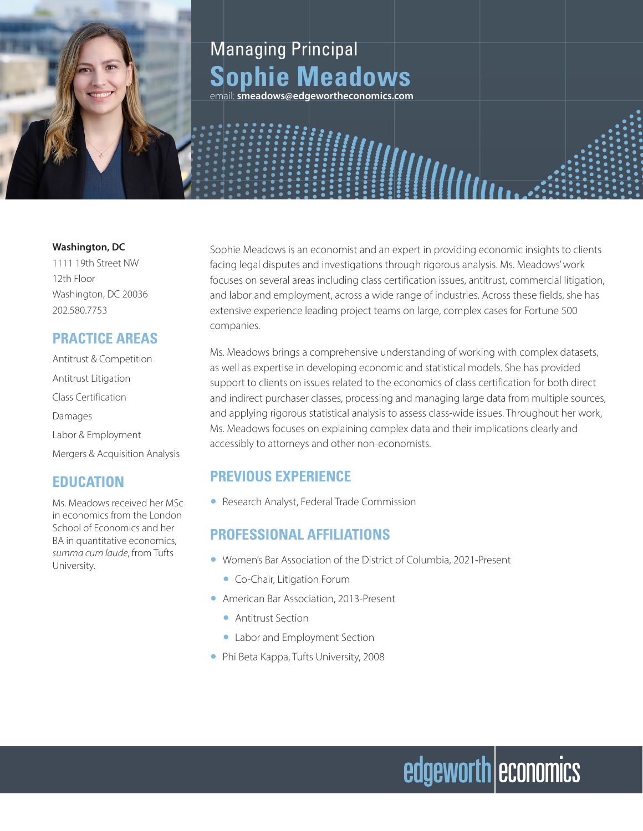

## Managing Principal **Sophie Meadows**

email: **smeadows@edgewortheconomics.com**

#### **Washington, DC**

1111 19th Street NW 12th Floor Washington, DC 20036 202.580.7753

#### **PRACTICE AREAS**

Antitrust & Competition Antitrust Litigation Class Certification Damages Labor & Employment Mergers & Acquisition Analysis

#### **EDUCATION**

Ms. Meadows received her MSc in economics from the London School of Economics and her BA in quantitative economics, *summa cum laude*, from Tufts University.

Sophie Meadows is an economist and an expert in providing economic insights to clients facing legal disputes and investigations through rigorous analysis. Ms. Meadows' work focuses on several areas including class certification issues, antitrust, commercial litigation, and labor and employment, across a wide range of industries. Across these fields, she has extensive experience leading project teams on large, complex cases for Fortune 500 companies.

Ms. Meadows brings a comprehensive understanding of working with complex datasets, as well as expertise in developing economic and statistical models. She has provided support to clients on issues related to the economics of class certification for both direct and indirect purchaser classes, processing and managing large data from multiple sources, and applying rigorous statistical analysis to assess class-wide issues. Throughout her work, Ms. Meadows focuses on explaining complex data and their implications clearly and accessibly to attorneys and other non-economists.

edgeworth economics

#### **PREVIOUS EXPERIENCE**

● Research Analyst, Federal Trade Commission

#### **PROFESSIONAL AFFILIATIONS**

- Women's Bar Association of the District of Columbia, 2021-Present
	- Co-Chair, Litigation Forum
- American Bar Association, 2013-Present
	- Antitrust Section
	- Labor and Employment Section
- Phi Beta Kappa, Tufts University, 2008